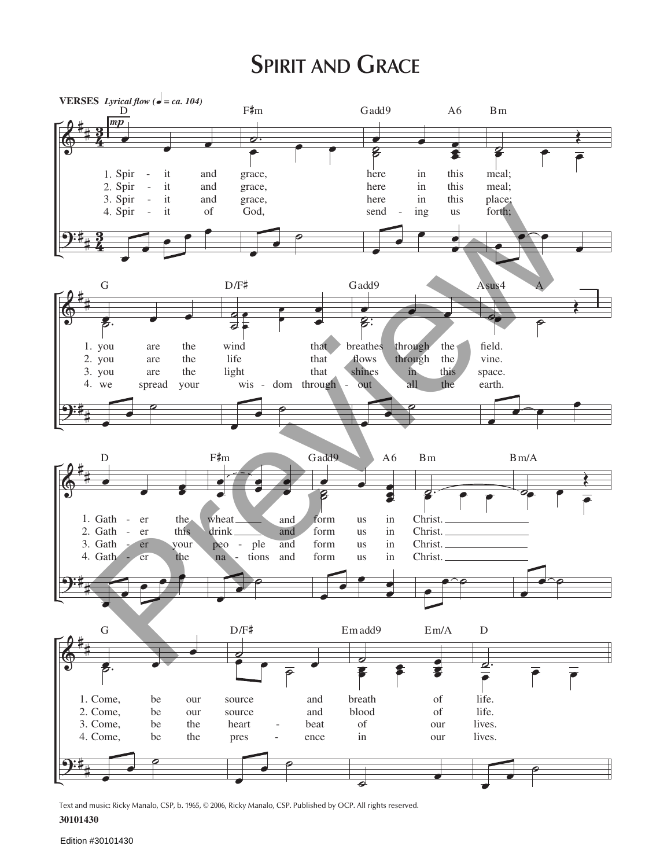## **SPIRIT AND GRACE**



Text and music: Ricky Manalo, CSP, b. 1965, © 2006, Ricky Manalo, CSP. Published by OCP. All rights reserved.

## 30101430